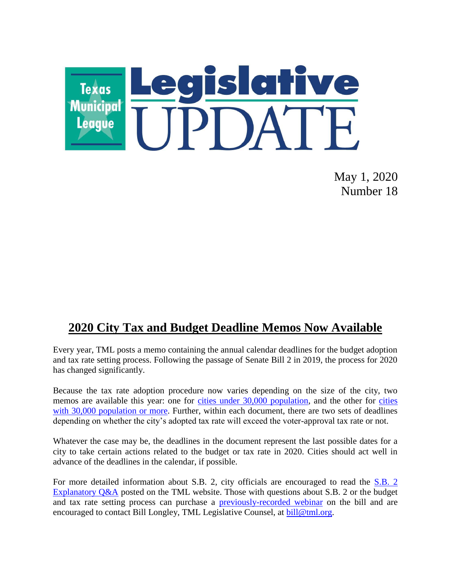

May 1, 2020 Number 18

# **2020 City Tax and Budget Deadline Memos Now Available**

Every year, TML posts a memo containing the annual calendar deadlines for the budget adoption and tax rate setting process. Following the passage of Senate Bill 2 in 2019, the process for 2020 has changed significantly.

Because the tax rate adoption procedure now varies depending on the size of the city, two memos are available this year: one for [cities under 30,000 population,](https://www.tml.org/DocumentCenter/View/1736/2020-TAX-AND-BUDGET-DEADLINES_less-than-30k?bidId=) and the other for cities [with 30,000 population or more.](https://www.tml.org/DocumentCenter/View/1735/2020-TAX-AND-BUDGET-DEADLINES_30k_and_up) Further, within each document, there are two sets of deadlines depending on whether the city's adopted tax rate will exceed the voter-approval tax rate or not.

Whatever the case may be, the deadlines in the document represent the last possible dates for a city to take certain actions related to the budget or tax rate in 2020. Cities should act well in advance of the deadlines in the calendar, if possible.

For more detailed information about S.B. 2, city officials are encouraged to read the [S.B. 2](https://www.tml.org/DocumentCenter/View/1485/sb-2-qa_update_jan-2020)  [Explanatory Q&A](https://www.tml.org/DocumentCenter/View/1485/sb-2-qa_update_jan-2020) posted on the TML website. Those with questions about S.B. 2 or the budget and tax rate setting process can purchase a [previously-recorded webinar](https://gumroad.com/l/qSVRH) on the bill and are encouraged to contact Bill Longley, TML Legislative Counsel, at [bill@tml.org.](mailto:bill@tml.org)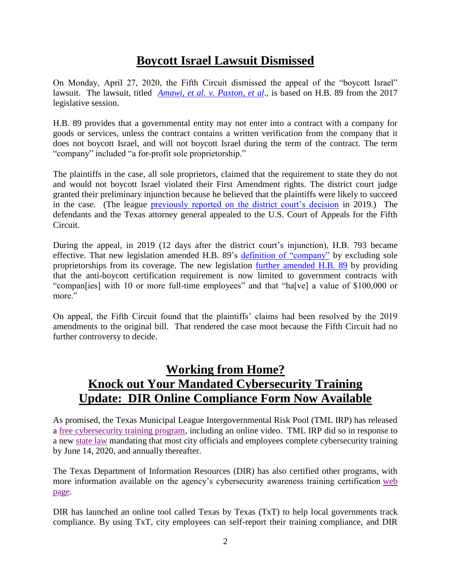# **Boycott Israel Lawsuit Dismissed**

On Monday, April 27, 2020, the Fifth Circuit dismissed the appeal of the "boycott Israel" lawsuit. The lawsuit, titled *[Amawi, et al. v. Paxton, et al](https://casetext.com/case/amawi-v-paxton)*., is based on H.B. 89 from the 2017 legislative session.

H.B. 89 provides that a governmental entity may not enter into a contract with a company for goods or services, unless the contract contains a written verification from the company that it does not boycott Israel, and will not boycott Israel during the term of the contract. The term "company" included "a for-profit sole proprietorship."

The plaintiffs in the case, all sole proprietors, claimed that the requirement to state they do not and would not boycott Israel violated their First Amendment rights. The district court judge granted their preliminary injunction because he believed that the plaintiffs were likely to succeed in the case. (The league [previously reported on the district court's decision](https://www.tml.org/596/May-3-2019-Number-18) in 2019.) The defendants and the Texas attorney general appealed to the U.S. Court of Appeals for the Fifth Circuit.

During the appeal, in 2019 (12 days after the district court's injunction), H.B. 793 became effective. That new legislation amended H.B. 89's [definition of "company"](https://statutes.capitol.texas.gov/Docs/GV/htm/GV.2271.htm#2271.001) by excluding sole proprietorships from its coverage. The new legislation [further amended H.B. 89](https://statutes.capitol.texas.gov/Docs/GV/htm/GV.2271.htm#2271.002) by providing that the anti-boycott certification requirement is now limited to government contracts with "compan[ies] with 10 or more full-time employees" and that "ha[ve] a value of \$100,000 or more."

On appeal, the Fifth Circuit found that the plaintiffs' claims had been resolved by the 2019 amendments to the original bill. That rendered the case moot because the Fifth Circuit had no further controversy to decide.

# **Working from Home? Knock out Your Mandated Cybersecurity Training Update: DIR Online Compliance Form Now Available**

As promised, the Texas Municipal League Intergovernmental Risk Pool (TML IRP) has released a [free cybersecurity training program,](http://info.tmlirp.org/cyber-security-training-program) including an online video. TML IRP did so in response to a new [state law](https://statutes.capitol.texas.gov/Docs/GV/htm/GV.2054.htm#2054.511) mandating that most city officials and employees complete cybersecurity training by June 14, 2020, and annually thereafter.

The Texas Department of Information Resources (DIR) has also certified other programs, with more information available on the agency's cybersecurity awareness training certification [web](https://dir.texas.gov/View-About-DIR/Information-Security/Pages/Content.aspx?id=154)  [page.](https://dir.texas.gov/View-About-DIR/Information-Security/Pages/Content.aspx?id=154)

DIR has launched an online tool called Texas by Texas (TxT) to help local governments track compliance. By using TxT, city employees can self-report their training compliance, and DIR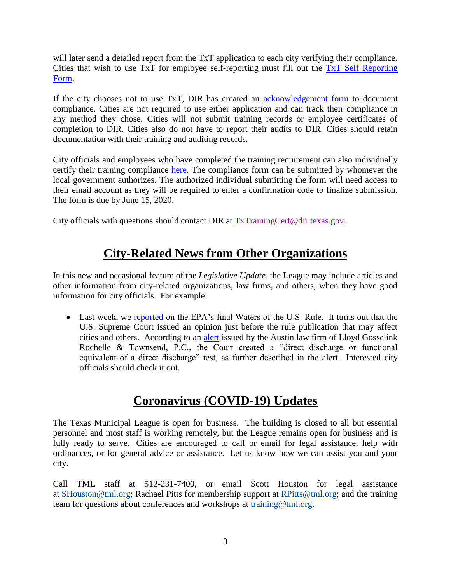will later send a detailed report from the TxT application to each city verifying their compliance. Cities that wish to use TxT for employee self-reporting must fill out the [TxT Self Reporting](https://www.surveygizmo.com/s3/5469429/House-Bill-3834-Texas-by-Texas-TxT-Self-Reporting)  [Form.](https://www.surveygizmo.com/s3/5469429/House-Bill-3834-Texas-by-Texas-TxT-Self-Reporting)

If the city chooses not to use TxT, DIR has created an [acknowledgement form](https://pubext.dir.texas.gov/portal/internal/resources/DocumentLibrary/Governing%20Board%20Acknowledgement%202020.docx) to document compliance. Cities are not required to use either application and can track their compliance in any method they chose. Cities will not submit training records or employee certificates of completion to DIR. Cities also do not have to report their audits to DIR. Cities should retain documentation with their training and auditing records.

City officials and employees who have completed the training requirement can also individually certify their training compliance [here.](https://dircommunity.force.com/SecurityTrainingVerification/s/HB3834CertificationLG) The compliance form can be submitted by whomever the local government authorizes. The authorized individual submitting the form will need access to their email account as they will be required to enter a confirmation code to finalize submission. The form is due by June 15, 2020.

City officials with questions should contact DIR at [TxTrainingCert@dir.texas.gov.](mailto:TxTrainingCert@dir.texas.gov)

# **City-Related News from Other Organizations**

In this new and occasional feature of the *Legislative Update*, the League may include articles and other information from city-related organizations, law firms, and others, when they have good information for city officials. For example:

• Last week, we [reported](https://www.tml.org/664/April-24-2020-Number-17#EPA) on the EPA's final Waters of the U.S. Rule. It turns out that the U.S. Supreme Court issued an opinion just before the rule publication that may affect cities and others. According to an [alert](https://www.lglawfirm.com/supreme-court-issues-opinion-regarding-discharge-permitting-scope/) issued by the Austin law firm of Lloyd Gosselink Rochelle & Townsend, P.C., the Court created a "direct discharge or functional equivalent of a direct discharge" test, as further described in the alert. Interested city officials should check it out.

### **Coronavirus (COVID-19) Updates**

The Texas Municipal League is open for business. The building is closed to all but essential personnel and most staff is working remotely, but the League remains open for business and is fully ready to serve. Cities are encouraged to call or email for legal assistance, help with ordinances, or for general advice or assistance. Let us know how we can assist you and your city.

Call TML staff at 512-231-7400, or email Scott Houston for legal assistance at [SHouston@tml.org;](mailto:SHouston@tml.org) Rachael Pitts for membership support at [RPitts@tml.org;](mailto:RPitts@tml.org) and the training team for questions about conferences and workshops at [training@tml.org.](mailto:training@tml.org)